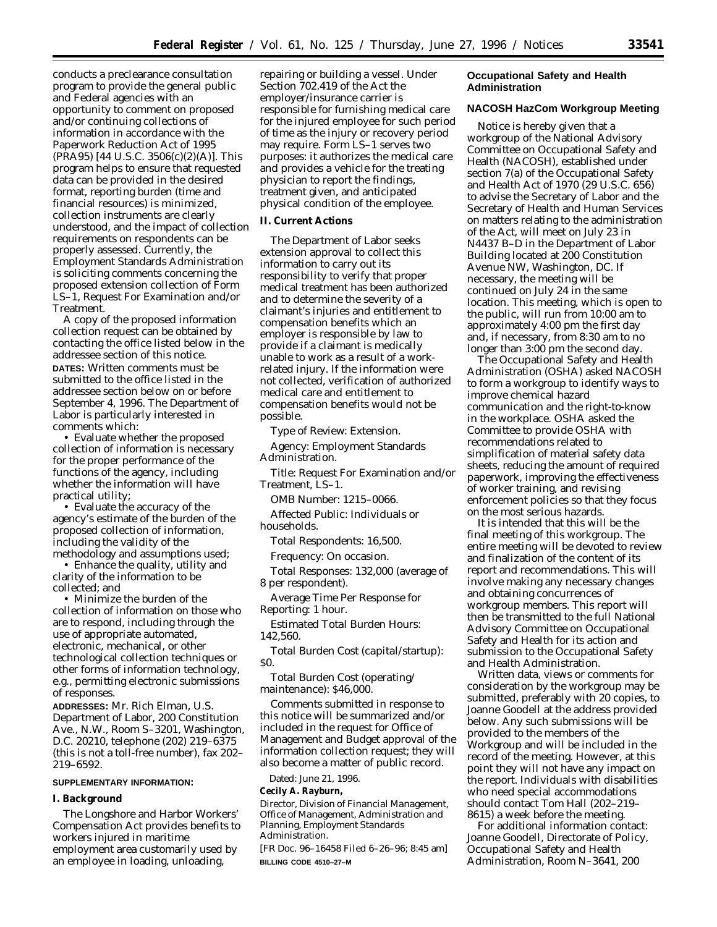conducts a preclearance consultation program to provide the general public and Federal agencies with an opportunity to comment on proposed and/or continuing collections of information in accordance with the Paperwork Reduction Act of 1995 (PRA95) [44 U.S.C. 3506(c)(2)(A)]. This program helps to ensure that requested data can be provided in the desired format, reporting burden (time and financial resources) is minimized, collection instruments are clearly understood, and the impact of collection requirements on respondents can be properly assessed. Currently, the Employment Standards Administration is soliciting comments concerning the proposed extension collection of Form LS–1, Request For Examination and/or Treatment.

A copy of the proposed information collection request can be obtained by contacting the office listed below in the addressee section of this notice. **DATES:** Written comments must be submitted to the office listed in the addressee section below on or before September 4, 1996. The Department of Labor is particularly interested in comments which:

• Evaluate whether the proposed collection of information is necessary for the proper performance of the functions of the agency, including whether the information will have practical utility;

• Evaluate the accuracy of the agency's estimate of the burden of the proposed collection of information, including the validity of the methodology and assumptions used;

• Enhance the quality, utility and clarity of the information to be collected; and

• Minimize the burden of the collection of information on those who are to respond, including through the use of appropriate automated, electronic, mechanical, or other technological collection techniques or other forms of information technology, e.g., permitting electronic submissions of responses.

**ADDRESSES:** Mr. Rich Elman, U.S. Department of Labor, 200 Constitution Ave., N.W., Room S–3201, Washington, D.C. 20210, telephone (202) 219–6375 (this is not a toll-free number), fax 202– 219–6592.

### **SUPPLEMENTARY INFORMATION:**

#### **I. Background**

The Longshore and Harbor Workers' Compensation Act provides benefits to workers injured in maritime employment area customarily used by an employee in loading, unloading,

repairing or building a vessel. Under Section 702.419 of the Act the employer/insurance carrier is responsible for furnishing medical care for the injured employee for such period of time as the injury or recovery period may require. Form LS–1 serves two purposes: it authorizes the medical care and provides a vehicle for the treating physician to report the findings, treatment given, and anticipated physical condition of the employee.

#### **II. Current Actions**

The Department of Labor seeks extension approval to collect this information to carry out its responsibility to verify that proper medical treatment has been authorized and to determine the severity of a claimant's injuries and entitlement to compensation benefits which an employer is responsible by law to provide if a claimant is medically unable to work as a result of a workrelated injury. If the information were not collected, verification of authorized medical care and entitlement to compensation benefits would not be possible.

*Type of Review:* Extension.

*Agency:* Employment Standards Administration.

*Title:* Request For Examination and/or Treatment, LS–1.

*OMB Number:* 1215–0066.

*Affected Public:* Individuals or households.

*Total Respondents:* 16,500.

*Frequency:* On occasion.

*Total Responses:* 132,000 (average of 8 per respondent).

*Average Time Per Response for Reporting:* 1 hour.

*Estimated Total Burden Hours:* 142,560.

*Total Burden Cost (capital/startup)*: \$0.

*Total Burden Cost (operating/ maintenance):* \$46,000.

Comments submitted in response to this notice will be summarized and/or included in the request for Office of Management and Budget approval of the information collection request; they will also become a matter of public record.

Dated: June 21, 1996.

**Cecily A. Rayburn,**

*Director, Division of Financial Management, Office of Management, Administration and Planning, Employment Standards Administration.*

[FR Doc. 96–16458 Filed 6–26–96; 8:45 am] **BILLING CODE 4510–27–M**

## **Occupational Safety and Health Administration**

## **NACOSH HazCom Workgroup Meeting**

Notice is hereby given that a workgroup of the National Advisory Committee on Occupational Safety and Health (NACOSH), established under section 7(a) of the Occupational Safety and Health Act of 1970 (29 U.S.C. 656) to advise the Secretary of Labor and the Secretary of Health and Human Services on matters relating to the administration of the Act, will meet on July 23 in N4437 B–D in the Department of Labor Building located at 200 Constitution Avenue NW, Washington, DC. If necessary, the meeting will be continued on July 24 in the same location. This meeting, which is open to the public, will run from 10:00 am to approximately 4:00 pm the first day and, if necessary, from 8:30 am to no longer than 3:00 pm the second day.

The Occupational Safety and Health Administration (OSHA) asked NACOSH to form a workgroup to identify ways to improve chemical hazard communication and the right-to-know in the workplace. OSHA asked the Committee to provide OSHA with recommendations related to simplification of material safety data sheets, reducing the amount of required paperwork, improving the effectiveness of worker training, and revising enforcement policies so that they focus on the most serious hazards.

It is intended that this will be the final meeting of this workgroup. The entire meeting will be devoted to review and finalization of the content of its report and recommendations. This will involve making any necessary changes and obtaining concurrences of workgroup members. This report will then be transmitted to the full National Advisory Committee on Occupational Safety and Health for its action and submission to the Occupational Safety and Health Administration.

Written data, views or comments for consideration by the workgroup may be submitted, preferably with 20 copies, to Joanne Goodell at the address provided below. Any such submissions will be provided to the members of the Workgroup and will be included in the record of the meeting. However, at this point they will not have any impact on the report. Individuals with disabilities who need special accommodations should contact Tom Hall (202–219– 8615) a week before the meeting.

For additional information contact: Joanne Goodell, Directorate of Policy, Occupational Safety and Health Administration, Room N–3641, 200